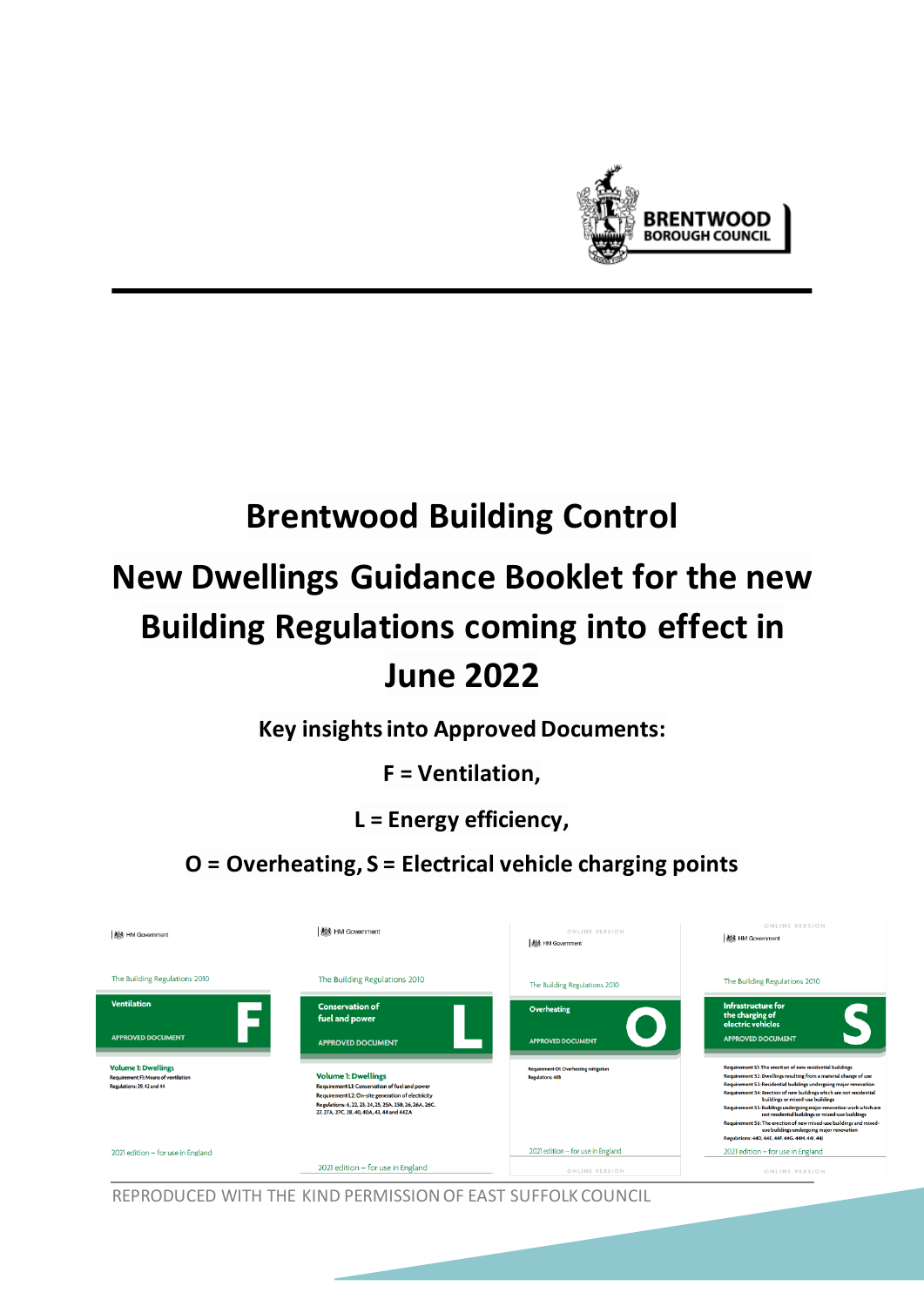

# **Brentwood Building Control**

# **New Dwellings Guidance Booklet for the new Building Regulations coming into effect in June 2022**

**Key insights into Approved Documents:**

**F = Ventilation,**

**L = Energy efficiency,**

**O = Overheating, S = Electrical vehicle charging points** 

| <b>Nik HM Government</b>                                                                                | <b>養料 HM Government</b>                                                                                                                                                                                                                    | ONLINE VERSION<br><b>機</b> HM Government                                | ONLINE VERSION<br><b>NS HM Government</b>                                                                                                                                                                                                                                                                                                                                                                                                                                                                        |
|---------------------------------------------------------------------------------------------------------|--------------------------------------------------------------------------------------------------------------------------------------------------------------------------------------------------------------------------------------------|-------------------------------------------------------------------------|------------------------------------------------------------------------------------------------------------------------------------------------------------------------------------------------------------------------------------------------------------------------------------------------------------------------------------------------------------------------------------------------------------------------------------------------------------------------------------------------------------------|
| The Building Regulations 2010                                                                           | The Building Regulations 2010                                                                                                                                                                                                              | The Building Regulations 2010                                           | The Building Regulations 2010                                                                                                                                                                                                                                                                                                                                                                                                                                                                                    |
| <b>Ventilation</b>                                                                                      | <b>Conservation of</b><br>fuel and power                                                                                                                                                                                                   | <b>Overheating</b>                                                      | <b>Infrastructure for</b><br>the charging of                                                                                                                                                                                                                                                                                                                                                                                                                                                                     |
| <b>APPROVED DOCUMENT</b>                                                                                | <b>APPROVED DOCUMENT</b>                                                                                                                                                                                                                   | <b>APPROVED DOCUMENT</b>                                                | electric vehicles<br><b>APPROVED DOCUMENT</b>                                                                                                                                                                                                                                                                                                                                                                                                                                                                    |
| <b>Volume 1: Dwellings</b><br><b>Requirement FI: Means of ventilation</b><br>Regulations: 39, 42 and 44 | <b>Volume 1: Dwellings</b><br>Requirement L1: Conservation of fuel and power<br>Requirement L2: On-site generation of electricity<br>Regulations: 6, 22, 23, 24, 25, 25A, 25B, 26, 26A, 26C,<br>27, 27A, 27C, 28, 40, 40A, 43, 44 and 44ZA | <b>Requirement Ot Overheating mitigation</b><br><b>Regulations: 408</b> | Requirement S1: The erection of new residential buildings<br>Requirement S2: Dwellings resulting from a material change of use<br>Requirement S3: Residential buildings undergoing major renovation<br>Requirement S4: Erection of new buildings which are not residential<br>buildings or mixed-use buildings<br>Requirement S5: Buildings undergoing major renovation work which are<br>not residential buildings or mixed-use buildings<br>Requirement S6: The erection of new mixed-use buildings and mixed- |
| 2021 edition - for use in England                                                                       | 2021 edition - for use in England                                                                                                                                                                                                          | 2021 edition - for use in England<br>ONLINE VERSION                     | use buildings undergoing major renovation<br>Regulations: 44D, 44E, 44F, 44G, 44H, 44I, 44J<br>2021 edition - for use in England<br>ONLINE VERSION                                                                                                                                                                                                                                                                                                                                                               |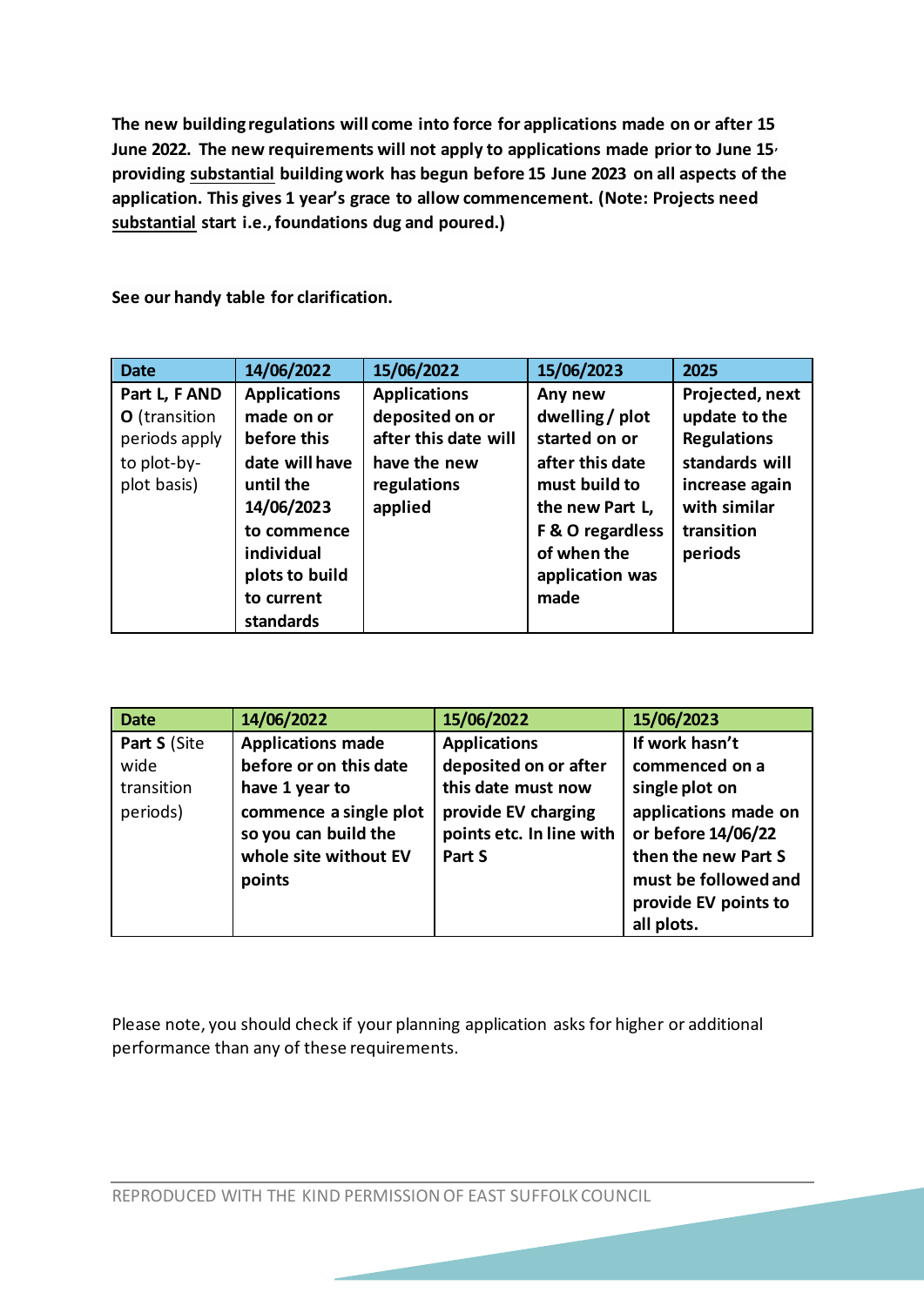**The new building regulations will come into force for applications made on or after 15 June 2022. The new requirements will not apply to applications made prior to June 15, providing substantial building work has begun before 15 June 2023 on all aspects of the application. This gives 1 year's grace to allow commencement. (Note: Projects need substantial start i.e.,foundations dug and poured.)** 

**See our handy table for clarification.**

| <b>Date</b>                                                                   | 14/06/2022                                                                           | 15/06/2022                                                                                    | 15/06/2023                                                                      | 2025                                                                                       |
|-------------------------------------------------------------------------------|--------------------------------------------------------------------------------------|-----------------------------------------------------------------------------------------------|---------------------------------------------------------------------------------|--------------------------------------------------------------------------------------------|
| Part L, F AND<br>O (transition<br>periods apply<br>to plot-by-<br>plot basis) | <b>Applications</b><br>made on or<br>before this<br>date will have<br>until the      | <b>Applications</b><br>deposited on or<br>after this date will<br>have the new<br>regulations | Any new<br>dwelling / plot<br>started on or<br>after this date<br>must build to | Projected, next<br>update to the<br><b>Regulations</b><br>standards will<br>increase again |
|                                                                               | 14/06/2023<br>to commence<br>individual<br>plots to build<br>to current<br>standards | applied                                                                                       | the new Part L,<br>F & O regardless<br>of when the<br>application was<br>made   | with similar<br>transition<br>periods                                                      |

| <b>Date</b>  | 14/06/2022                                                                        | 15/06/2022                                                | 15/06/2023                                                                                                                      |
|--------------|-----------------------------------------------------------------------------------|-----------------------------------------------------------|---------------------------------------------------------------------------------------------------------------------------------|
| Part S (Site | <b>Applications made</b>                                                          | <b>Applications</b>                                       | If work hasn't                                                                                                                  |
| wide         | before or on this date                                                            | deposited on or after                                     | commenced on a                                                                                                                  |
| transition   | have 1 year to                                                                    | this date must now                                        | single plot on                                                                                                                  |
| periods)     | commence a single plot<br>so you can build the<br>whole site without EV<br>points | provide EV charging<br>points etc. In line with<br>Part S | applications made on<br>or before 14/06/22<br>then the new Part S<br>must be followed and<br>provide EV points to<br>all plots. |

Please note, you should check if your planning application asks for higher or additional performance than any of these requirements.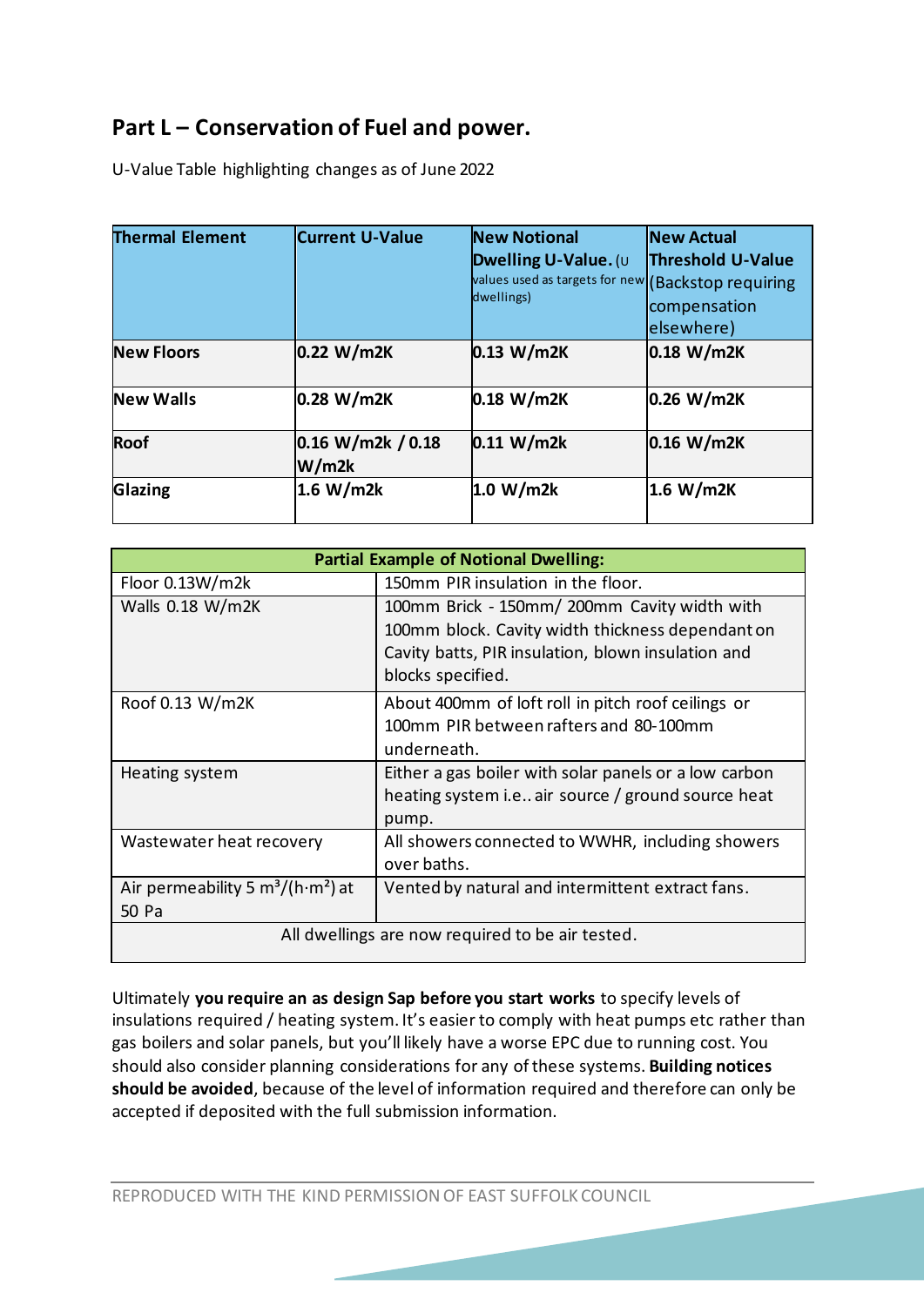# **Part L – Conservation of Fuel and power.**

U-Value Table highlighting changes as of June 2022

| <b>Thermal Element</b> | <b>Current U-Value</b>     | <b>New Notional</b><br>Dwelling U-Value. (U<br>values used as targets for new (Backstop requiring<br>dwellings) | <b>New Actual</b><br><b>Threshold U-Value</b><br>compensation<br>elsewhere) |
|------------------------|----------------------------|-----------------------------------------------------------------------------------------------------------------|-----------------------------------------------------------------------------|
| <b>New Floors</b>      | 0.22 W/m2K                 | 0.13 W/m2K                                                                                                      | 0.18 W/m2K                                                                  |
| <b>New Walls</b>       | 0.28 W/m2K                 | 0.18 W/m2K                                                                                                      | 0.26 W/m2K                                                                  |
| <b>Roof</b>            | 0.16 W/m2k / 0.18<br>W/m2k | 0.11 W/m2k                                                                                                      | 0.16 W/m2K                                                                  |
| Glazing                | 1.6 W/m2k                  | 1.0 W/m2k                                                                                                       | 1.6 W/m2K                                                                   |

|                                                              | <b>Partial Example of Notional Dwelling:</b>                            |
|--------------------------------------------------------------|-------------------------------------------------------------------------|
| Floor $0.13W/m2k$                                            | 150mm PIR insulation in the floor.                                      |
| Walls $0.18 W/m2K$                                           | 100mm Brick - 150mm/ 200mm Cavity width with                            |
|                                                              | 100mm block. Cavity width thickness dependant on                        |
|                                                              | Cavity batts, PIR insulation, blown insulation and<br>blocks specified. |
| Roof 0.13 W/m2K                                              | About 400mm of loft roll in pitch roof ceilings or                      |
|                                                              | 100mm PIR between rafters and 80-100mm                                  |
|                                                              | underneath.                                                             |
| Heating system                                               | Either a gas boiler with solar panels or a low carbon                   |
|                                                              | heating system i.e air source / ground source heat                      |
|                                                              | pump.                                                                   |
| Wastewater heat recovery                                     | All showers connected to WWHR, including showers<br>over baths.         |
| Air permeability 5 $\text{m}^3/\text{(h}\cdot\text{m}^2)$ at | Vented by natural and intermittent extract fans.                        |
| 50 Pa                                                        |                                                                         |
|                                                              | All dwellings are now required to be air tested.                        |

Ultimately **you require an as design Sap before you start works** to specify levels of insulations required / heating system. It's easier to comply with heat pumps etc rather than gas boilers and solar panels, but you'll likely have a worse EPC due to running cost. You should also consider planning considerations for any of these systems. **Building notices should be avoided**, because of the level of information required and therefore can only be accepted if deposited with the full submission information.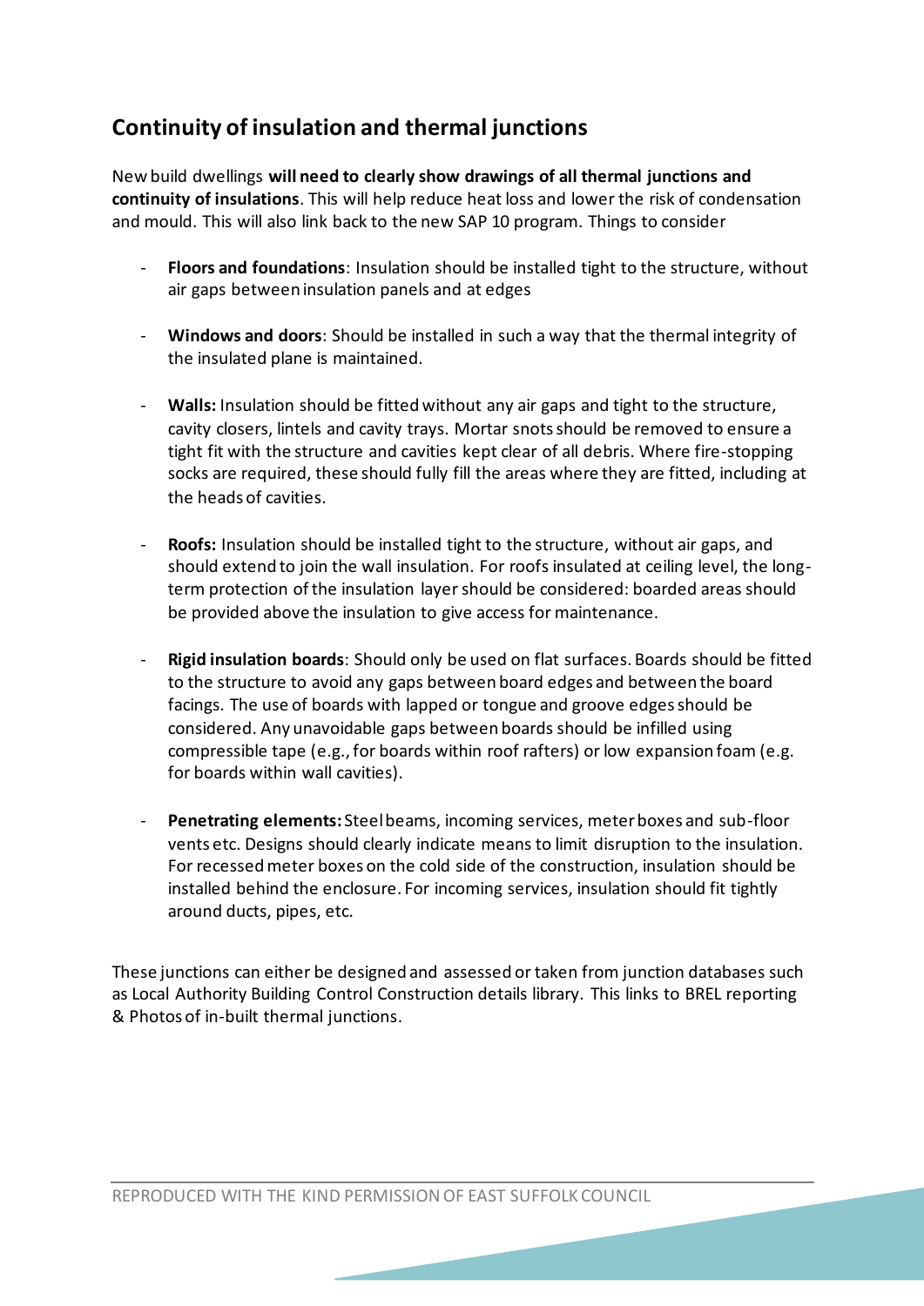# **Continuity of insulation and thermal junctions**

New build dwellings **will need to clearly show drawings of all thermal junctions and continuity of insulations**. This will help reduce heat loss and lower the risk of condensation and mould. This will also link back to the new SAP 10 program. Things to consider

- **Floors and foundations**: Insulation should be installed tight to the structure, without air gaps between insulation panels and at edges
- **Windows and doors**: Should be installed in such a way that the thermal integrity of the insulated plane is maintained.
- **Walls:** Insulation should be fitted without any air gaps and tight to the structure, cavity closers, lintels and cavity trays. Mortar snots should be removed to ensure a tight fit with the structure and cavities kept clear of all debris. Where fire-stopping socks are required, these should fully fill the areas where they are fitted, including at the heads of cavities.
- **Roofs:** Insulation should be installed tight to the structure, without air gaps, and should extend to join the wall insulation. For roofs insulated at ceiling level, the longterm protection of the insulation layer should be considered: boarded areas should be provided above the insulation to give access for maintenance.
- **Rigid insulation boards**: Should only be used on flat surfaces. Boards should be fitted to the structure to avoid any gaps between board edges and between the board facings. The use of boards with lapped or tongue and groove edges should be considered. Any unavoidable gaps between boards should be infilled using compressible tape (e.g., for boards within roof rafters) or low expansion foam (e.g. for boards within wall cavities).
- **Penetrating elements:** Steel beams, incoming services, meter boxes and sub-floor vents etc. Designs should clearly indicate means to limit disruption to the insulation. For recessed meter boxes on the cold side of the construction, insulation should be installed behind the enclosure. For incoming services, insulation should fit tightly around ducts, pipes, etc.

These junctions can either be designed and assessed or taken from junction databases such as Local Authority Building Control Construction details library. This links to BREL reporting & Photos of in-built thermal junctions.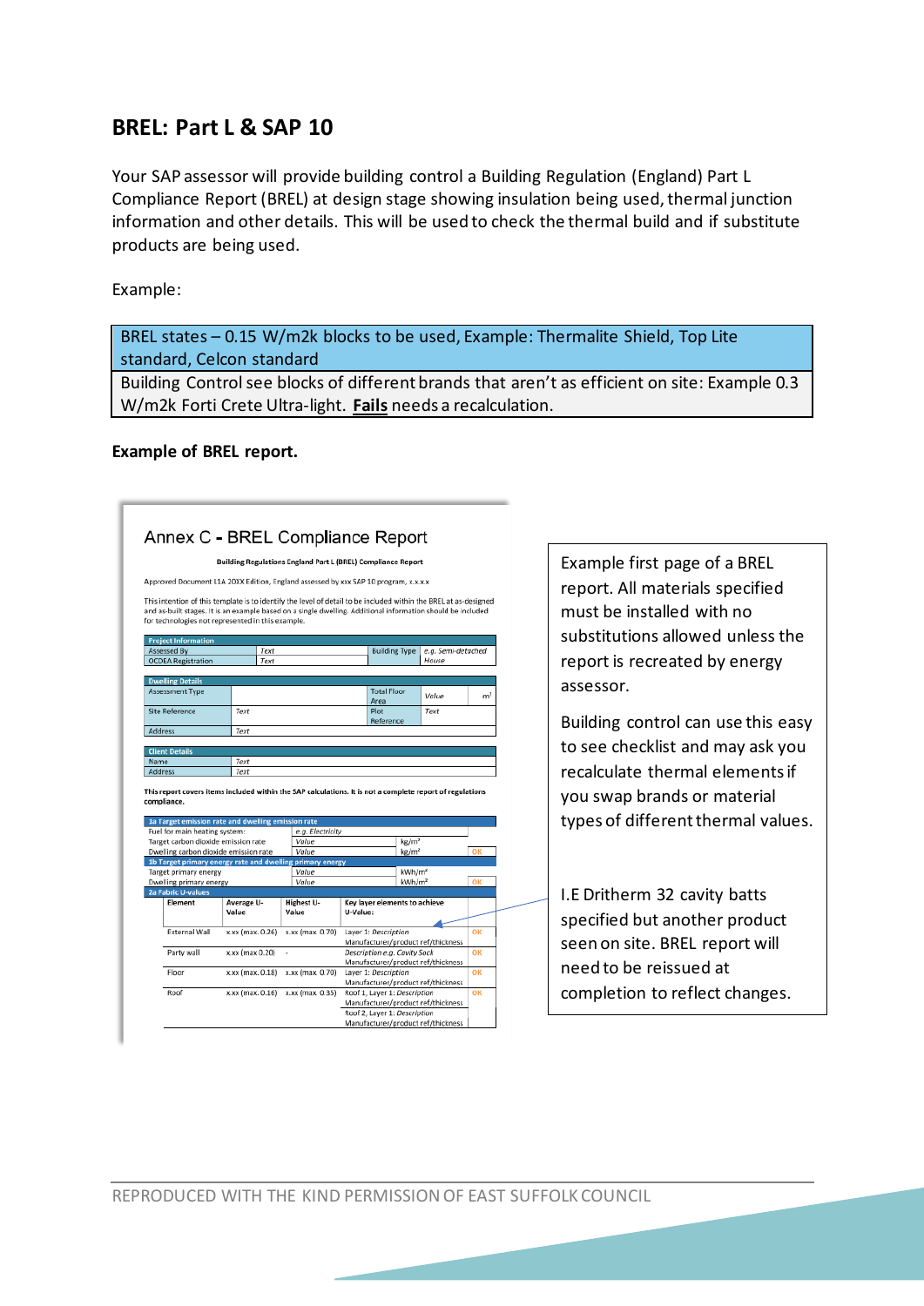## **BREL: Part L & SAP 10**

Your SAP assessor will provide building control a Building Regulation (England) Part L Compliance Report (BREL) at design stage showing insulation being used, thermal junction information and other details. This will be used to check the thermal build and if substitute products are being used.

Example:

BREL states – 0.15 W/m2k blocks to be used, Example: Thermalite Shield, Top Lite standard, Celcon standard

Building Control see blocks of different brands that aren't as efficient on site: Example 0.3 W/m2k Forti Crete Ultra-light. **Fails** needs a recalculation.

#### **Example of BREL report.**

|                                                                                                                                                                                                                                                                                                                                                                                                                                                                          |                  |                  | Building Regulations England Part L (BREL) Compliance Report       |                    |                |  | Example first         |
|--------------------------------------------------------------------------------------------------------------------------------------------------------------------------------------------------------------------------------------------------------------------------------------------------------------------------------------------------------------------------------------------------------------------------------------------------------------------------|------------------|------------------|--------------------------------------------------------------------|--------------------|----------------|--|-----------------------|
| Approved Document L1A 20XX Edition, England assessed by xxx SAP 10 program, x.x.x.x                                                                                                                                                                                                                                                                                                                                                                                      |                  |                  |                                                                    |                    |                |  |                       |
|                                                                                                                                                                                                                                                                                                                                                                                                                                                                          |                  |                  |                                                                    |                    |                |  | report. All ma        |
| This intention of this template is to identify the level of detail to be included within the BREL at as-designed<br>and as-built stages. It is an example based on a single dwelling. Additional information should be included                                                                                                                                                                                                                                          |                  |                  |                                                                    |                    |                |  | must be instal        |
| for technologies not represented in this example.                                                                                                                                                                                                                                                                                                                                                                                                                        |                  |                  |                                                                    |                    |                |  |                       |
| <b>Project Information</b>                                                                                                                                                                                                                                                                                                                                                                                                                                               |                  |                  |                                                                    |                    |                |  | substitutions         |
| Assessed By                                                                                                                                                                                                                                                                                                                                                                                                                                                              | Text             |                  | <b>Building Type</b>                                               | e.g. Semi-detached |                |  |                       |
| <b>OCDEA Registration</b>                                                                                                                                                                                                                                                                                                                                                                                                                                                | Text             |                  |                                                                    | House              |                |  | report is recre       |
|                                                                                                                                                                                                                                                                                                                                                                                                                                                                          |                  |                  |                                                                    |                    |                |  |                       |
| <b>Dwelling Details</b><br>Assessment Type                                                                                                                                                                                                                                                                                                                                                                                                                               |                  |                  | <b>Total Floor</b>                                                 |                    |                |  | assessor.             |
|                                                                                                                                                                                                                                                                                                                                                                                                                                                                          |                  |                  | Area                                                               | Value              | m <sup>2</sup> |  |                       |
| <b>Site Reference</b>                                                                                                                                                                                                                                                                                                                                                                                                                                                    | Text             |                  | Plot<br>Reference                                                  | Text               |                |  | <b>Building contr</b> |
| Address                                                                                                                                                                                                                                                                                                                                                                                                                                                                  | Text             |                  |                                                                    |                    |                |  |                       |
|                                                                                                                                                                                                                                                                                                                                                                                                                                                                          |                  |                  |                                                                    |                    |                |  | to see checklis       |
| <b>Client Details</b>                                                                                                                                                                                                                                                                                                                                                                                                                                                    |                  |                  |                                                                    |                    |                |  |                       |
|                                                                                                                                                                                                                                                                                                                                                                                                                                                                          |                  |                  |                                                                    |                    |                |  |                       |
|                                                                                                                                                                                                                                                                                                                                                                                                                                                                          | Text<br>Text     |                  |                                                                    |                    |                |  |                       |
|                                                                                                                                                                                                                                                                                                                                                                                                                                                                          |                  |                  |                                                                    |                    |                |  | recalculate th        |
|                                                                                                                                                                                                                                                                                                                                                                                                                                                                          |                  |                  |                                                                    |                    |                |  |                       |
|                                                                                                                                                                                                                                                                                                                                                                                                                                                                          |                  |                  |                                                                    |                    |                |  | you swap brai         |
|                                                                                                                                                                                                                                                                                                                                                                                                                                                                          |                  |                  |                                                                    |                    |                |  |                       |
|                                                                                                                                                                                                                                                                                                                                                                                                                                                                          |                  | e.g. Electricity |                                                                    |                    |                |  | types of differ       |
|                                                                                                                                                                                                                                                                                                                                                                                                                                                                          |                  | Value            |                                                                    | kg/m <sup>2</sup>  |                |  |                       |
|                                                                                                                                                                                                                                                                                                                                                                                                                                                                          |                  | Value            |                                                                    | kg/m <sup>2</sup>  | OK             |  |                       |
|                                                                                                                                                                                                                                                                                                                                                                                                                                                                          |                  | Value            |                                                                    | kWh/m <sup>2</sup> |                |  |                       |
|                                                                                                                                                                                                                                                                                                                                                                                                                                                                          |                  | Value            |                                                                    | kWh/m <sup>2</sup> | OK             |  |                       |
|                                                                                                                                                                                                                                                                                                                                                                                                                                                                          |                  |                  |                                                                    |                    |                |  |                       |
| Element                                                                                                                                                                                                                                                                                                                                                                                                                                                                  | Average U-       | Highest U-       | Key layer elements to achieve                                      |                    |                |  | I.E Dritherm 3        |
|                                                                                                                                                                                                                                                                                                                                                                                                                                                                          | Value            | Value            | U-Value:                                                           |                    |                |  |                       |
| External Wall                                                                                                                                                                                                                                                                                                                                                                                                                                                            | x.xx (max. 0.26) | x.xx (max. 0.70) | Layer 1: Description                                               |                    | OK             |  | specified but         |
|                                                                                                                                                                                                                                                                                                                                                                                                                                                                          |                  |                  | Manufacturer/product ref/thickness                                 |                    |                |  | seen on site. I       |
| Party wall                                                                                                                                                                                                                                                                                                                                                                                                                                                               | x.xx (max 0.20)  |                  | Description e.g. Cavity Sock                                       |                    | OK             |  |                       |
| Floor                                                                                                                                                                                                                                                                                                                                                                                                                                                                    | x.xx (max. 0.18) | x.xx (max. 0.70) | Manufacturer/product ref/thickness<br>Layer 1: Description         |                    | OK             |  | need to be rei        |
|                                                                                                                                                                                                                                                                                                                                                                                                                                                                          |                  |                  | Manufacturer/product ref/thickness                                 |                    |                |  |                       |
| Name<br>Address<br>This report covers items included within the SAP calculations. It is not a complete report of regulations<br>compliance.<br>1a Target emission rate and dwelling emission rate<br>Fuel for main heating system:<br>Target carbon dioxide emission rate<br>Dwelling carbon dioxide emission rate<br>1b Target primary energy rate and dwelling primary energy<br>Target primary energy<br>Dwelling primary energy<br><b>2a Fabric U-values</b><br>Roof | x.xx (max. 0.16) | x.xx (max. 0.35) | Roof 1, Layer 1: Description                                       |                    | OK             |  |                       |
|                                                                                                                                                                                                                                                                                                                                                                                                                                                                          |                  |                  | Manufacturer/product ref/thickness<br>Roof 2, Layer 1: Description |                    |                |  | completion to         |

page of a BREL terials specified lled with no allowed unless the eated by energy

ol can use this easy st and may ask you ermal elements if nds or material rent thermal values.

2 cavity batts another product BREL report will issued at p reflect changes.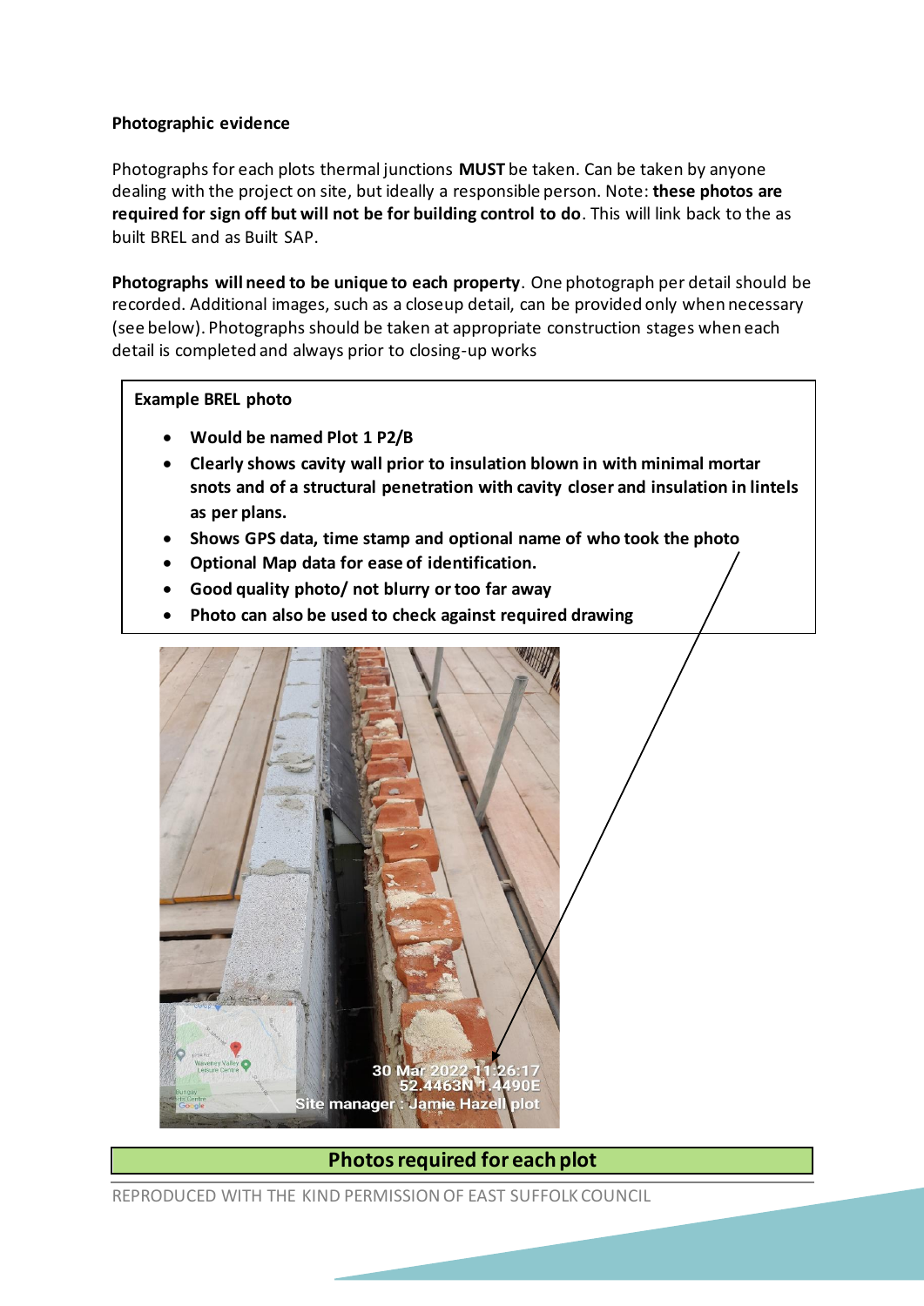#### **Photographic evidence**

Photographs for each plots thermal junctions **MUST** be taken. Can be taken by anyone dealing with the project on site, but ideally a responsible person. Note: **these photos are required for sign off but will not be for building control to do**. This will link back to the as built BREL and as Built SAP.

**Photographs will need to be unique to each property**. One photograph per detail should be recorded. Additional images, such as a closeup detail, can be provided only when necessary (see below). Photographs should be taken at appropriate construction stages when each detail is completed and always prior to closing-up works

#### **Example BREL photo**

- **Would be named Plot 1 P2/B**
- **Clearly shows cavity wall prior to insulation blown in with minimal mortar snots and of a structural penetration with cavity closer and insulation in lintels as per plans.**
- **Shows GPS data, time stamp and optional name of who took the photo**
- **Optional Map data for ease of identification.**
- **Good quality photo/ not blurry or too far away**
- **Photo can also be used to check against required drawing**



### **Photos required for each plot**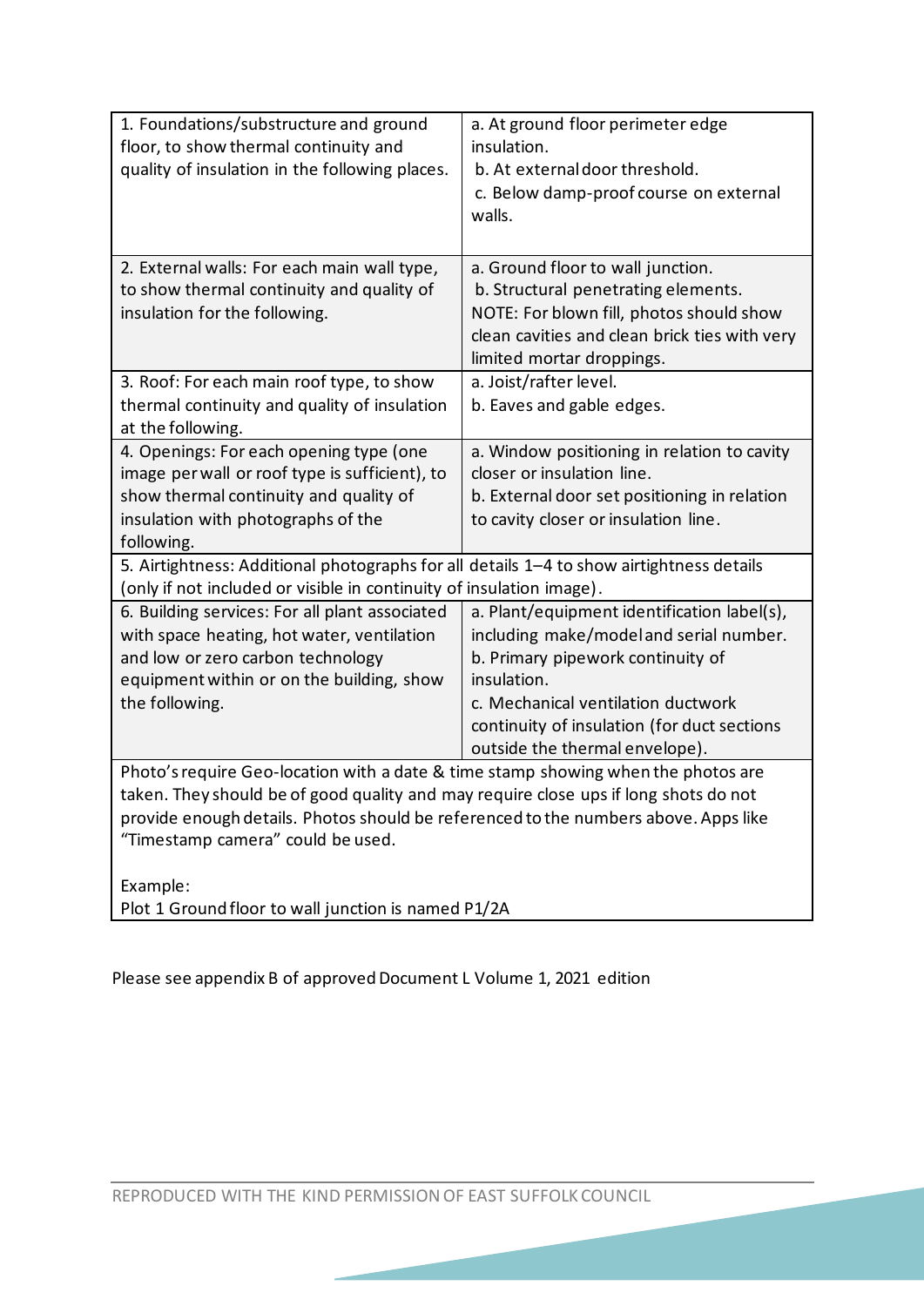| 1. Foundations/substructure and ground<br>floor, to show thermal continuity and          | a. At ground floor perimeter edge<br>insulation. |
|------------------------------------------------------------------------------------------|--------------------------------------------------|
| quality of insulation in the following places.                                           | b. At external door threshold.                   |
|                                                                                          | c. Below damp-proof course on external           |
|                                                                                          | walls.                                           |
|                                                                                          |                                                  |
| 2. External walls: For each main wall type,                                              | a. Ground floor to wall junction.                |
| to show thermal continuity and quality of                                                | b. Structural penetrating elements.              |
| insulation for the following.                                                            | NOTE: For blown fill, photos should show         |
|                                                                                          | clean cavities and clean brick ties with very    |
|                                                                                          | limited mortar droppings.                        |
| 3. Roof: For each main roof type, to show                                                | a. Joist/rafter level.                           |
| thermal continuity and quality of insulation                                             | b. Eaves and gable edges.                        |
| at the following.                                                                        |                                                  |
| 4. Openings: For each opening type (one                                                  | a. Window positioning in relation to cavity      |
| image per wall or roof type is sufficient), to                                           | closer or insulation line.                       |
| show thermal continuity and quality of                                                   | b. External door set positioning in relation     |
| insulation with photographs of the                                                       | to cavity closer or insulation line.             |
| following.                                                                               |                                                  |
| 5. Airtightness: Additional photographs for all details 1-4 to show airtightness details |                                                  |
| (only if not included or visible in continuity of insulation image).                     |                                                  |
| 6. Building services: For all plant associated                                           | a. Plant/equipment identification label(s),      |
| with space heating, hot water, ventilation<br>and low or zero carbon technology          | including make/model and serial number.          |
| equipment within or on the building, show                                                | b. Primary pipework continuity of<br>insulation. |
| the following.                                                                           | c. Mechanical ventilation ductwork               |
|                                                                                          | continuity of insulation (for duct sections      |
|                                                                                          | outside the thermal envelope).                   |
| Photo's require Geo-location with a date & time stamp showing when the photos are        |                                                  |
| taken. They should be of good quality and may require close ups if long shots do not     |                                                  |
| provide enough details. Photos should be referenced to the numbers above. Apps like      |                                                  |
| "Timestamp camera" could be used.                                                        |                                                  |
|                                                                                          |                                                  |
| Example:                                                                                 |                                                  |
| Plot 1 Ground floor to wall junction is named P1/2A                                      |                                                  |

Please see appendix B of approved Document L Volume 1, 2021 edition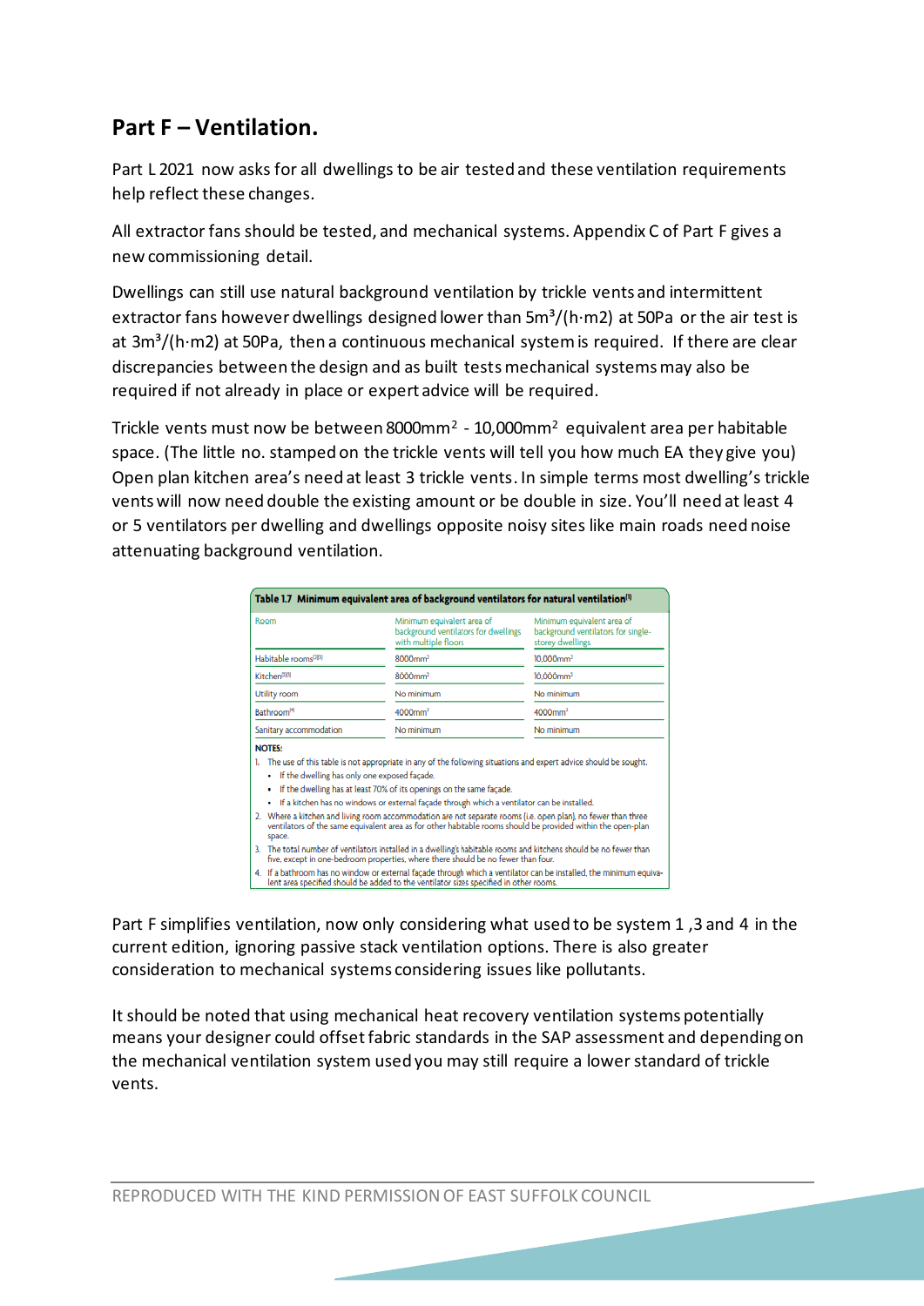# **Part F – Ventilation.**

Part L 2021 now asks for all dwellings to be air tested and these ventilation requirements help reflect these changes.

All extractor fans should be tested, and mechanical systems. Appendix C of Part F gives a new commissioning detail.

Dwellings can still use natural background ventilation by trickle vents and intermittent extractor fans however dwellings designed lower than  $5m<sup>3</sup>/(h·m2)$  at 50Pa or the air test is at  $3m<sup>3</sup>$ (h·m2) at 50Pa, then a continuous mechanical system is required. If there are clear discrepancies between the design and as built tests mechanical systems may also be required if not already in place or expert advice will be required.

Trickle vents must now be between 8000mm<sup>2</sup> - 10,000mm<sup>2</sup> equivalent area per habitable space. (The little no. stamped on the trickle vents will tell you how much EA they give you) Open plan kitchen area's need at least 3 trickle vents. In simple terms most dwelling's trickle vents will now need double the existing amount or be double in size. You'll need at least 4 or 5 ventilators per dwelling and dwellings opposite noisy sites like main roads need noise attenuating background ventilation.

| Room                                                   | Minimum equivalent area of<br>background ventilators for dwellings<br>with multiple floors                                                                                                                                                                                             | Minimum equivalent area of<br>background ventilators for single-<br>storey dwellings |  |
|--------------------------------------------------------|----------------------------------------------------------------------------------------------------------------------------------------------------------------------------------------------------------------------------------------------------------------------------------------|--------------------------------------------------------------------------------------|--|
| Habitable rooms <sup>(283)</sup>                       | 8000mm <sup>2</sup>                                                                                                                                                                                                                                                                    | $10.000$ mm <sup>2</sup>                                                             |  |
| Kitchen <sup>[20]</sup>                                | 8000mm <sup>2</sup>                                                                                                                                                                                                                                                                    | $10.000$ mm <sup>2</sup>                                                             |  |
| <b>Utility room</b>                                    | No minimum                                                                                                                                                                                                                                                                             | No minimum                                                                           |  |
| <b>Bathroom<sup>[4]</sup></b>                          | 4000mm <sup>2</sup>                                                                                                                                                                                                                                                                    | 4000mm <sup>2</sup>                                                                  |  |
| Sanitary accommodation                                 | No minimum                                                                                                                                                                                                                                                                             | No minimum                                                                           |  |
| <b>NOTES:</b>                                          |                                                                                                                                                                                                                                                                                        |                                                                                      |  |
| If the dwelling has only one exposed facade.<br>٠<br>٠ | The use of this table is not appropriate in any of the following situations and expert advice should be sought.<br>If the dwelling has at least 70% of its openings on the same facade.<br>If a kitchen has no windows or external façade through which a ventilator can be installed. |                                                                                      |  |
| space.                                                 | 2. Where a kitchen and living room accommodation are not separate rooms (i.e. open plan), no fewer than three<br>ventilators of the same equivalent area as for other habitable rooms should be provided within the open-plan                                                          |                                                                                      |  |
|                                                        | 3. The total number of ventilators installed in a dwelling's habitable rooms and kitchens should be no fewer than<br>five, except in one-bedroom properties, where there should be no fewer than four.                                                                                 |                                                                                      |  |

Part F simplifies ventilation, now only considering what used to be system 1 ,3 and 4 in the current edition, ignoring passive stack ventilation options. There is also greater consideration to mechanical systems considering issues like pollutants.

It should be noted that using mechanical heat recovery ventilation systems potentially means your designer could offset fabric standards in the SAP assessment and depending on the mechanical ventilation system used you may still require a lower standard of trickle vents.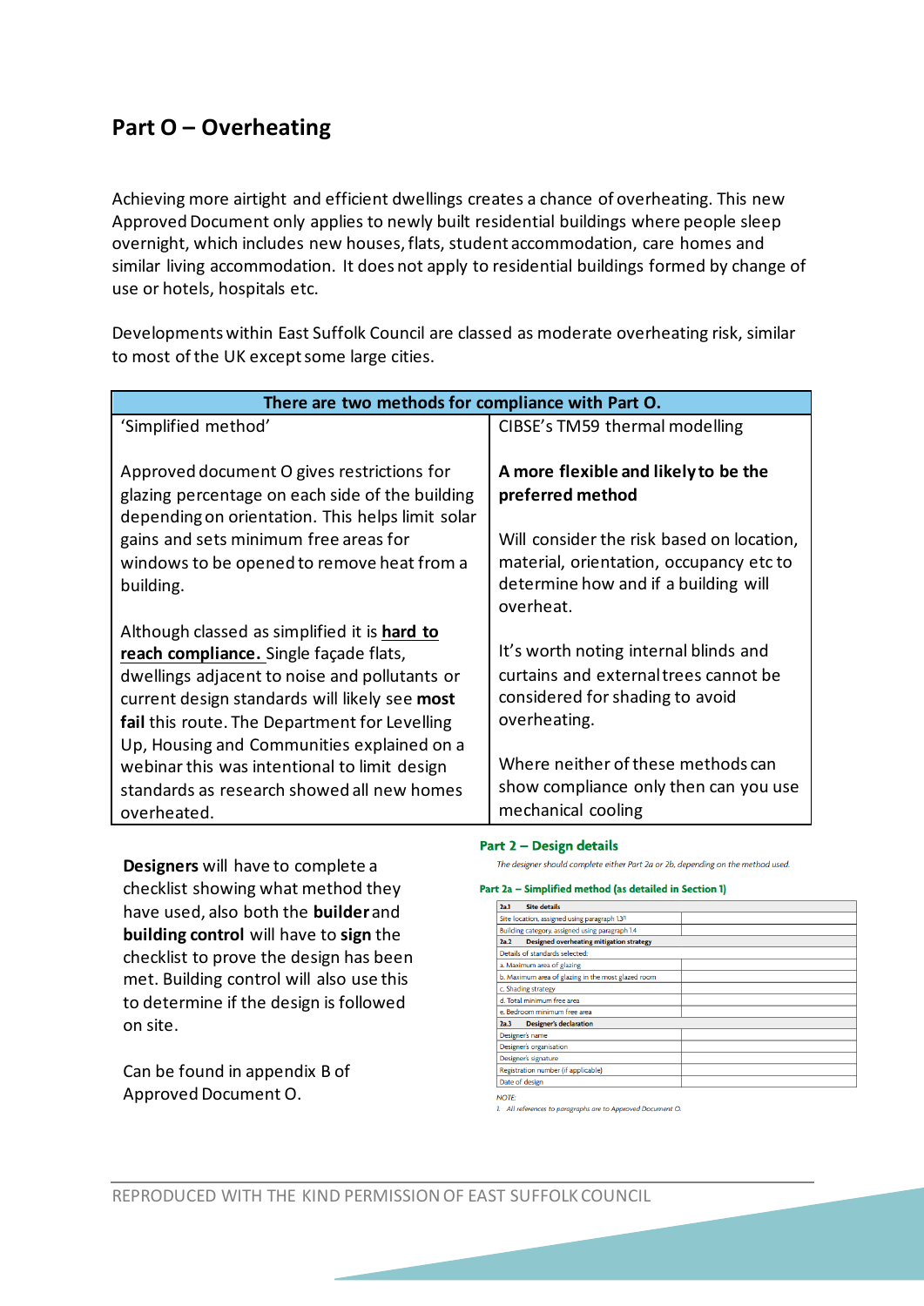# **Part O – Overheating**

Achieving more airtight and efficient dwellings creates a chance of overheating. This new Approved Document only applies to newly built residential buildings where people sleep overnight, which includes new houses, flats, student accommodation, care homes and similar living accommodation. It does not apply to residential buildings formed by change of use or hotels, hospitals etc.

Developments within East Suffolk Council are classed as moderate overheating risk, similar to most of the UK except some large cities.

| There are two methods for compliance with Part O.                                                                                                                                                                                                                                                                                                                                                    |                                                                                                                                                                                                                                        |
|------------------------------------------------------------------------------------------------------------------------------------------------------------------------------------------------------------------------------------------------------------------------------------------------------------------------------------------------------------------------------------------------------|----------------------------------------------------------------------------------------------------------------------------------------------------------------------------------------------------------------------------------------|
| 'Simplified method'                                                                                                                                                                                                                                                                                                                                                                                  | CIBSE's TM59 thermal modelling                                                                                                                                                                                                         |
| Approved document O gives restrictions for<br>glazing percentage on each side of the building<br>depending on orientation. This helps limit solar<br>gains and sets minimum free areas for<br>windows to be opened to remove heat from a<br>building.                                                                                                                                                | A more flexible and likely to be the<br>preferred method<br>Will consider the risk based on location,<br>material, orientation, occupancy etc to<br>determine how and if a building will<br>overheat.                                  |
| Although classed as simplified it is hard to<br>reach compliance. Single façade flats,<br>dwellings adjacent to noise and pollutants or<br>current design standards will likely see most<br>fail this route. The Department for Levelling<br>Up, Housing and Communities explained on a<br>webinar this was intentional to limit design<br>standards as research showed all new homes<br>overheated. | It's worth noting internal blinds and<br>curtains and external trees cannot be<br>considered for shading to avoid<br>overheating.<br>Where neither of these methods can<br>show compliance only then can you use<br>mechanical cooling |

**Designers** will have to complete a checklist showing what method they have used, also both the **builder**and **building control** will have to **sign** the checklist to prove the design has been met. Building control will also use this to determine if the design is followed on site.

Can be found in appendix B of Approved Document O.

#### Part 2 – Design details

The designer should complete either Part 2a or 2b, depending on the method used.

#### Part 2a - Simplified method (as detailed in Section 1)

| <b>Site details</b><br>2a.1                             |  |
|---------------------------------------------------------|--|
| Site location, assigned using paragraph 1.30)           |  |
| Building category, assigned using paragraph 1.4         |  |
| <b>Designed overheating mitigation strategy</b><br>2a.2 |  |
| Details of standards selected:                          |  |
| a. Maximum area of glazing                              |  |
| b. Maximum area of glazing in the most glazed room      |  |
| c. Shading strategy                                     |  |
| d. Total minimum free area                              |  |
| e. Bedroom minimum free area                            |  |
| <b>Designer's declaration</b><br>2a.3                   |  |
| Designer's name                                         |  |
| Designer's organisation                                 |  |
| Designer's signature                                    |  |
| Registration number (if applicable)                     |  |
| Date of design                                          |  |

1. All references to paragraphs are to Approved Document O.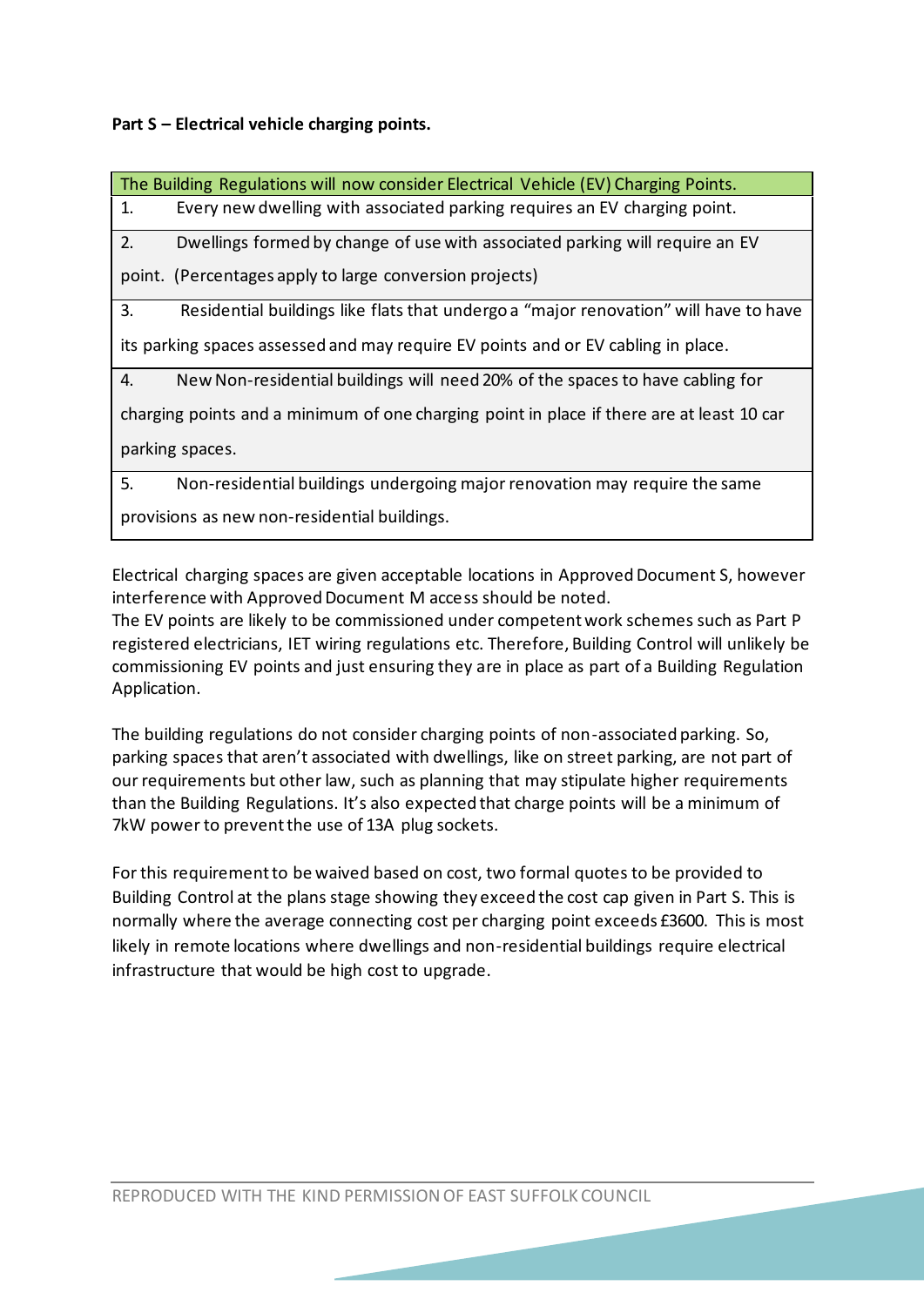**Part S – Electrical vehicle charging points.** 

| The Building Regulations will now consider Electrical Vehicle (EV) Charging Points.        |
|--------------------------------------------------------------------------------------------|
| 1.<br>Every new dwelling with associated parking requires an EV charging point.            |
| 2.<br>Dwellings formed by change of use with associated parking will require an EV         |
| point. (Percentages apply to large conversion projects)                                    |
| 3.<br>Residential buildings like flats that undergo a "major renovation" will have to have |
| its parking spaces assessed and may require EV points and or EV cabling in place.          |
| 4.<br>New Non-residential buildings will need 20% of the spaces to have cabling for        |
| charging points and a minimum of one charging point in place if there are at least 10 car  |
| parking spaces.                                                                            |
| 5.<br>Non-residential buildings undergoing major renovation may require the same           |
| provisions as new non-residential buildings.                                               |

Electrical charging spaces are given acceptable locations in Approved Document S, however interference with Approved Document M access should be noted.

The EV points are likely to be commissioned under competent work schemes such as Part P registered electricians, IET wiring regulations etc. Therefore, Building Control will unlikely be commissioning EV points and just ensuring they are in place as part of a Building Regulation Application.

The building regulations do not consider charging points of non-associated parking. So, parking spaces that aren't associated with dwellings, like on street parking, are not part of our requirements but other law, such as planning that may stipulate higher requirements than the Building Regulations. It's also expected that charge points will be a minimum of 7kW power to prevent the use of 13A plug sockets.

For this requirement to be waived based on cost, two formal quotes to be provided to Building Control at the plans stage showing they exceed the cost cap given in Part S. This is normally where the average connecting cost per charging point exceeds £3600. This is most likely in remote locations where dwellings and non-residential buildings require electrical infrastructure that would be high cost to upgrade.